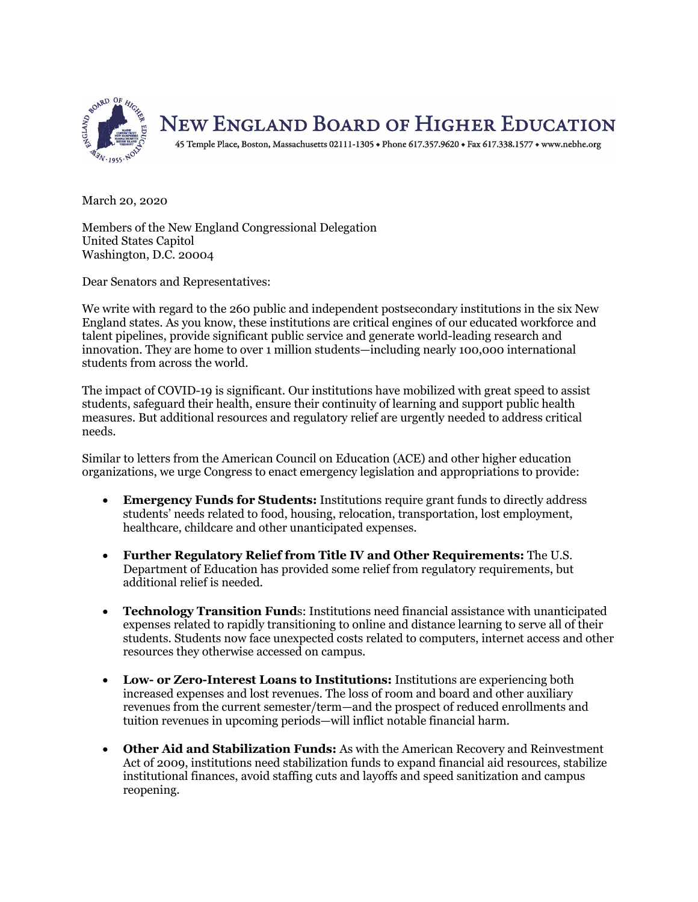

March 20, 2020

Members of the New England Congressional Delegation United States Capitol Washington, D.C. 20004

Dear Senators and Representatives:

We write with regard to the 260 public and independent postsecondary institutions in the six New England states. As you know, these institutions are critical engines of our educated workforce and talent pipelines, provide significant public service and generate world-leading research and innovation. They are home to over 1 million students—including nearly 100,000 international students from across the world.

The impact of COVID-19 is significant. Our institutions have mobilized with great speed to assist students, safeguard their health, ensure their continuity of learning and support public health measures. But additional resources and regulatory relief are urgently needed to address critical needs.

Similar to letters from the American Council on Education (ACE) and other higher education organizations, we urge Congress to enact emergency legislation and appropriations to provide:

- **Emergency Funds for Students:** Institutions require grant funds to directly address students' needs related to food, housing, relocation, transportation, lost employment, healthcare, childcare and other unanticipated expenses.
- **Further Regulatory Relief from Title IV and Other Requirements:** The U.S. Department of Education has provided some relief from regulatory requirements, but additional relief is needed.
- **Technology Transition Fund**s: Institutions need financial assistance with unanticipated expenses related to rapidly transitioning to online and distance learning to serve all of their students. Students now face unexpected costs related to computers, internet access and other resources they otherwise accessed on campus.
- **Low- or Zero-Interest Loans to Institutions:** Institutions are experiencing both increased expenses and lost revenues. The loss of room and board and other auxiliary revenues from the current semester/term—and the prospect of reduced enrollments and tuition revenues in upcoming periods—will inflict notable financial harm.
- **Other Aid and Stabilization Funds:** As with the American Recovery and Reinvestment Act of 2009, institutions need stabilization funds to expand financial aid resources, stabilize institutional finances, avoid staffing cuts and layoffs and speed sanitization and campus reopening.